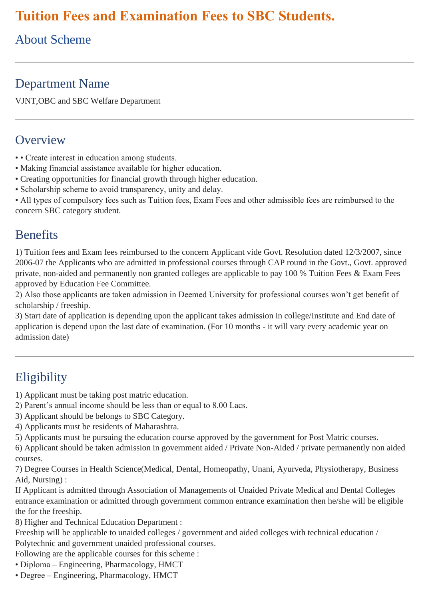# **Tuition Fees and Examination Fees to SBC Students.**

# About Scheme

## Department Name

VJNT,OBC and SBC Welfare Department

#### **Overview**

- • Create interest in education among students.
- Making financial assistance available for higher education.
- Creating opportunities for financial growth through higher education.
- Scholarship scheme to avoid transparency, unity and delay.

• All types of compulsory fees such as Tuition fees, Exam Fees and other admissible fees are reimbursed to the concern SBC category student.

#### **Benefits**

1) Tuition fees and Exam fees reimbursed to the concern Applicant vide Govt. Resolution dated 12/3/2007, since 2006-07 the Applicants who are admitted in professional courses through CAP round in the Govt., Govt. approved private, non-aided and permanently non granted colleges are applicable to pay 100 % Tuition Fees & Exam Fees approved by Education Fee Committee.

2) Also those applicants are taken admission in Deemed University for professional courses won't get benefit of scholarship / freeship.

3) Start date of application is depending upon the applicant takes admission in college/Institute and End date of application is depend upon the last date of examination. (For 10 months - it will vary every academic year on admission date)

# **Eligibility**

1) Applicant must be taking post matric education.

- 2) Parent's annual income should be less than or equal to 8.00 Lacs.
- 3) Applicant should be belongs to SBC Category.
- 4) Applicants must be residents of Maharashtra.
- 5) Applicants must be pursuing the education course approved by the government for Post Matric courses.

6) Applicant should be taken admission in government aided / Private Non-Aided / private permanently non aided courses.

7) Degree Courses in Health Science(Medical, Dental, Homeopathy, Unani, Ayurveda, Physiotherapy, Business Aid, Nursing) :

If Applicant is admitted through Association of Managements of Unaided Private Medical and Dental Colleges entrance examination or admitted through government common entrance examination then he/she will be eligible the for the freeship.

8) Higher and Technical Education Department :

Freeship will be applicable to unaided colleges / government and aided colleges with technical education / Polytechnic and government unaided professional courses.

Following are the applicable courses for this scheme :

- Diploma Engineering, Pharmacology, HMCT
- Degree Engineering, Pharmacology, HMCT